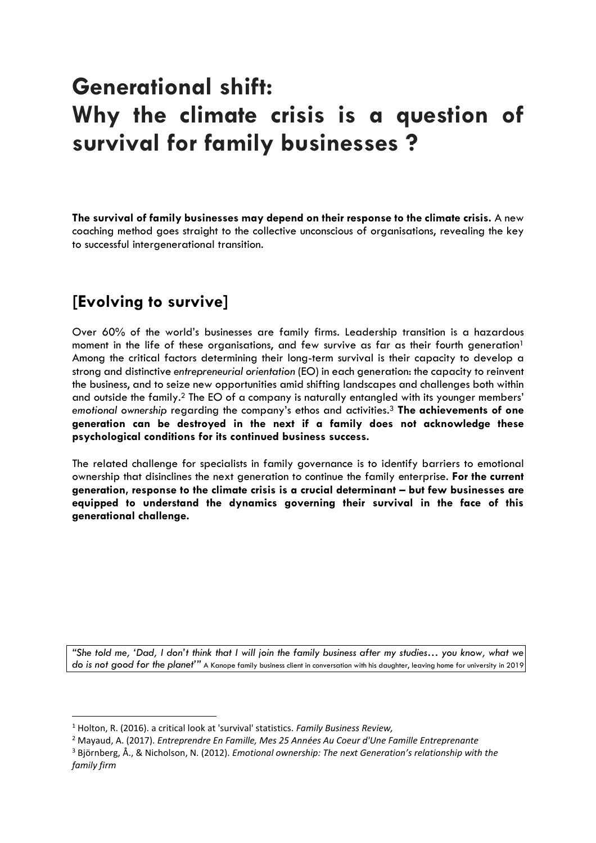# **Generational shift: Why the climate crisis is a question of survival for family businesses ?**

**The survival of family businesses may depend on their response to the climate crisis.** A new coaching method goes straight to the collective unconscious of organisations, revealing the key to successful intergenerational transition.

### **[Evolving to survive]**

Over 60% of the world's businesses are family firms. Leadership transition is a hazardous moment in the life of these organisations, and few survive as far as their fourth generation<sup>1</sup> Among the critical factors determining their long-term survival is their capacity to develop a strong and distinctive *entrepreneurial orientation* (EO) in each generation: the capacity to reinvent the business, and to seize new opportunities amid shifting landscapes and challenges both within and outside the family.<sup>2</sup> The EO of a company is naturally entangled with its younger members' *emotional ownership* regarding the company's ethos and activities. <sup>3</sup> **The achievements of one generation can be destroyed in the next if a family does not acknowledge these psychological conditions for its continued business success.**

The related challenge for specialists in family governance is to identify barriers to emotional ownership that disinclines the next generation to continue the family enterprise. **For the current generation, response to the climate crisis is a crucial determinant – but few businesses are equipped to understand the dynamics governing their survival in the face of this generational challenge.**

*"She told me, 'Dad, I don't think that I will join the family business after my studies… you know, what we do is not good for the planet'"* A Kanope family business client in conversation with his daughter, leaving home for university in 2019

<sup>1</sup> Holton, R. (2016). a critical look at 'survival' statistics. *Family Business Review,* 

<sup>2</sup> Mayaud, A. (2017). *Entreprendre En Famille, Mes 25 Années Au Coeur d'Une Famille Entreprenante* 

<sup>3</sup> Björnberg, Å., & Nicholson, N. (2012). *Emotional ownership: The next Generation's relationship with the family firm*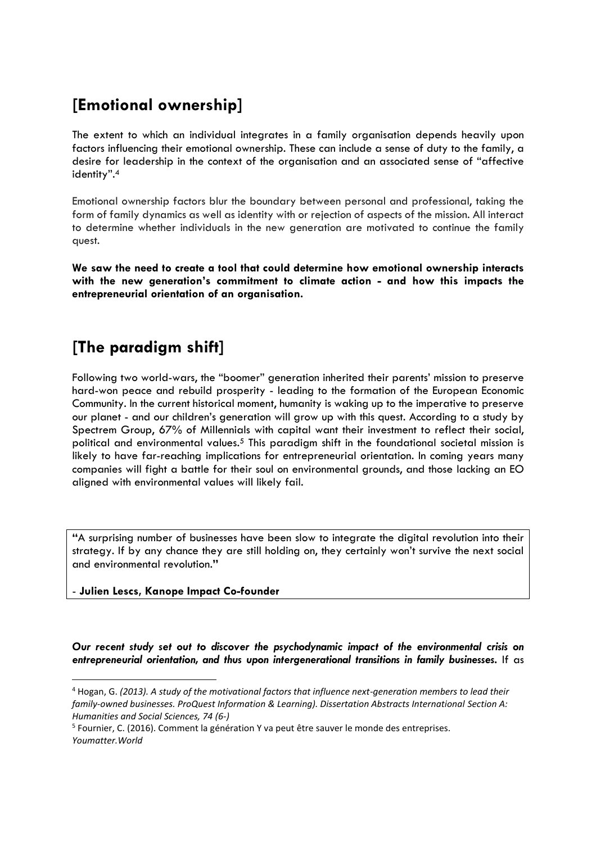### **[Emotional ownership]**

The extent to which an individual integrates in a family organisation depends heavily upon factors influencing their emotional ownership. These can include a sense of duty to the family, a desire for leadership in the context of the organisation and an associated sense of "affective identity". 4

Emotional ownership factors blur the boundary between personal and professional, taking the form of family dynamics as well as identity with or rejection of aspects of the mission. All interact to determine whether individuals in the new generation are motivated to continue the family quest.

**We saw the need to create a tool that could determine how emotional ownership interacts with the new generation's commitment to climate action - and how this impacts the entrepreneurial orientation of an organisation.**

### **[The paradigm shift]**

Following two world-wars, the "boomer" generation inherited their parents' mission to preserve hard-won peace and rebuild prosperity - leading to the formation of the European Economic Community. In the current historical moment, humanity is waking up to the imperative to preserve our planet - and our children's generation will grow up with this quest. According to a study by Spectrem Group, 67% of Millennials with capital want their investment to reflect their social, political and environmental values. <sup>5</sup> This paradigm shift in the foundational societal mission is likely to have far-reaching implications for entrepreneurial orientation. In coming years many companies will fight a battle for their soul on environmental grounds, and those lacking an EO aligned with environmental values will likely fail.

**"**A surprising number of businesses have been slow to integrate the digital revolution into their strategy. If by any chance they are still holding on, they certainly won't survive the next social and environmental revolution.**"** 

#### - **Julien Lescs, Kanope Impact Co-founder**

*Our recent study set out to discover the psychodynamic impact of the environmental crisis on entrepreneurial orientation, and thus upon intergenerational transitions in family businesses.* If as

<sup>4</sup> Hogan, G. *(2013). A study of the motivational factors that influence next-generation members to lead their family-owned businesses. ProQuest Information & Learning). Dissertation Abstracts International Section A: Humanities and Social Sciences, 74 (6-)*

<sup>&</sup>lt;sup>5</sup> Fournier, C. (2016). Comment la génération Y va peut être sauver le monde des entreprises. *Youmatter.World*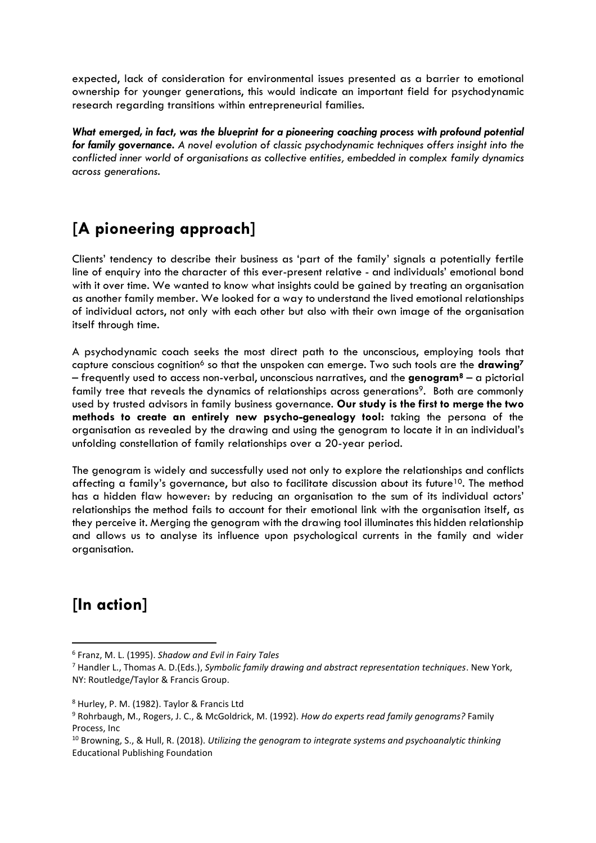expected, lack of consideration for environmental issues presented as a barrier to emotional ownership for younger generations, this would indicate an important field for psychodynamic research regarding transitions within entrepreneurial families.

*What emerged, in fact, was the blueprint for a pioneering coaching process with profound potential for family governance. A novel evolution of classic psychodynamic techniques offers insight into the conflicted inner world of organisations as collective entities, embedded in complex family dynamics across generations.* 

# **[A pioneering approach]**

Clients' tendency to describe their business as 'part of the family' signals a potentially fertile line of enquiry into the character of this ever-present relative - and individuals' emotional bond with it over time. We wanted to know what insights could be gained by treating an organisation as another family member. We looked for a way to understand the lived emotional relationships of individual actors, not only with each other but also with their own image of the organisation itself through time.

A psychodynamic coach seeks the most direct path to the unconscious, employing tools that capture conscious cognition<sup>6</sup> so that the unspoken can emerge. Two such tools are the **drawing<sup>7</sup>** – frequently used to access non-verbal, unconscious narratives, and the **genogram<sup>8</sup>** – a pictorial family tree that reveals the dynamics of relationships across generations<sup>9</sup>. Both are commonly used by trusted advisors in family business governance. **Our study is the first to merge the two methods to create an entirely new psycho-genealogy tool:** taking the persona of the organisation as revealed by the drawing and using the genogram to locate it in an individual's unfolding constellation of family relationships over a 20-year period.

The genogram is widely and successfully used not only to explore the relationships and conflicts affecting a family's governance, but also to facilitate discussion about its future<sup>10</sup>. The method has a hidden flaw however: by reducing an organisation to the sum of its individual actors' relationships the method fails to account for their emotional link with the organisation itself, as they perceive it. Merging the genogram with the drawing tool illuminates this hidden relationship and allows us to analyse its influence upon psychological currents in the family and wider organisation.

# **[In action]**

<sup>6</sup> Franz, M. L. (1995). *Shadow and Evil in Fairy Tales* 

<sup>7</sup> Handler L., Thomas A. D.(Eds.), *Symbolic family drawing and abstract representation techniques*. New York, NY: Routledge/Taylor & Francis Group.

<sup>8</sup> Hurley, P. M. (1982). Taylor & Francis Ltd

<sup>9</sup> Rohrbaugh, M., Rogers, J. C., & McGoldrick, M. (1992). *How do experts read family genograms?* Family Process, Inc

<sup>10</sup> Browning, S., & Hull, R. (2018). *Utilizing the genogram to integrate systems and psychoanalytic thinking* Educational Publishing Foundation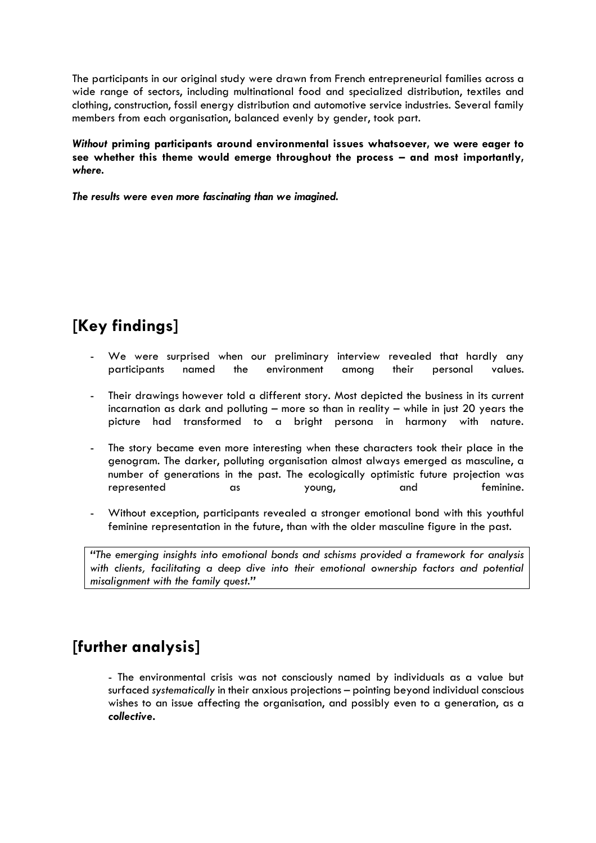The participants in our original study were drawn from French entrepreneurial families across a wide range of sectors, including multinational food and specialized distribution, textiles and clothing, construction, fossil energy distribution and automotive service industries. Several family members from each organisation, balanced evenly by gender, took part.

*Without* **priming participants around environmental issues whatsoever, we were eager to see whether this theme would emerge throughout the process – and most importantly,**  *where.*

*The results were even more fascinating than we imagined.* 

# **[Key findings]**

- We were surprised when our preliminary interview revealed that hardly any participants named the environment among their personal values.
- Their drawings however told a different story. Most depicted the business in its current incarnation as dark and polluting – more so than in reality – while in just 20 years the picture had transformed to a bright persona in harmony with nature.
- The story became even more interesting when these characters took their place in the genogram. The darker, polluting organisation almost always emerged as masculine, a number of generations in the past. The ecologically optimistic future projection was represented as young, and feminine.
- Without exception, participants revealed a stronger emotional bond with this youthful feminine representation in the future, than with the older masculine figure in the past.

*"The emerging insights into emotional bonds and schisms provided a framework for analysis with clients, facilitating a deep dive into their emotional ownership factors and potential misalignment with the family quest."*

#### **[further analysis]**

- The environmental crisis was not consciously named by individuals as a value but surfaced *systematically* in their anxious projections – pointing beyond individual conscious wishes to an issue affecting the organisation, and possibly even to a generation, as a *collective***.**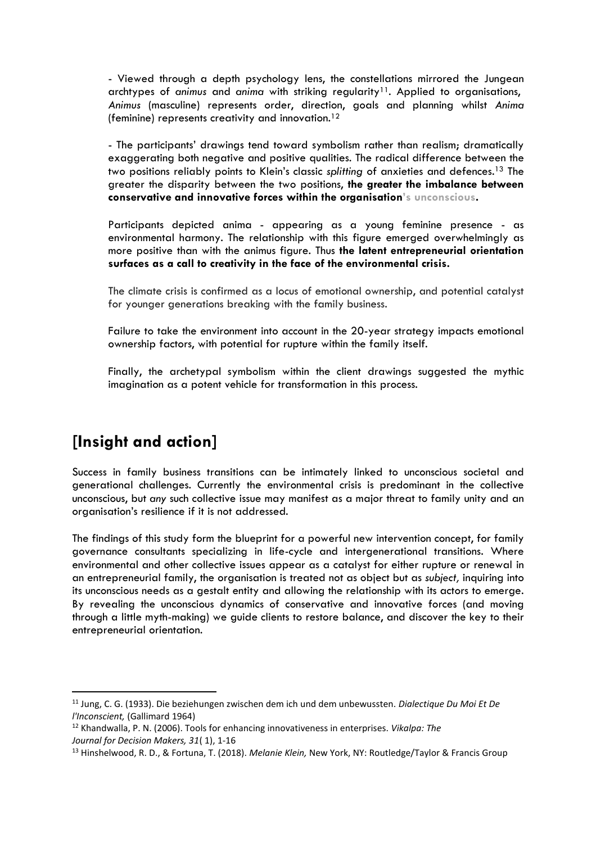- Viewed through a depth psychology lens, the constellations mirrored the Jungean archtypes of *animus* and *anima* with striking regularity<sup>11</sup>. Applied to organisations, *Animus* (masculine) represents order, direction, goals and planning whilst *Anima*  (feminine) represents creativity and innovation.<sup>12</sup>

- The participants' drawings tend toward symbolism rather than realism; dramatically exaggerating both negative and positive qualities. The radical difference between the two positions reliably points to Klein's classic *splitting* of anxieties and defences.<sup>13</sup> The greater the disparity between the two positions, **the greater the imbalance between conservative and innovative forces within the organisation's unconscious.**

Participants depicted anima - appearing as a young feminine presence - as environmental harmony. The relationship with this figure emerged overwhelmingly as more positive than with the animus figure. Thus **the latent entrepreneurial orientation surfaces as a call to creativity in the face of the environmental crisis.**

The climate crisis is confirmed as a locus of emotional ownership, and potential catalyst for younger generations breaking with the family business.

Failure to take the environment into account in the 20-year strategy impacts emotional ownership factors, with potential for rupture within the family itself.

Finally, the archetypal symbolism within the client drawings suggested the mythic imagination as a potent vehicle for transformation in this process.

#### **[Insight and action]**

Success in family business transitions can be intimately linked to unconscious societal and generational challenges. Currently the environmental crisis is predominant in the collective unconscious, but *any* such collective issue may manifest as a major threat to family unity and an organisation's resilience if it is not addressed.

The findings of this study form the blueprint for a powerful new intervention concept, for family governance consultants specializing in life-cycle and intergenerational transitions. Where environmental and other collective issues appear as a catalyst for either rupture or renewal in an entrepreneurial family, the organisation is treated not as object but as *subject,* inquiring into its unconscious needs as a gestalt entity and allowing the relationship with its actors to emerge. By revealing the unconscious dynamics of conservative and innovative forces (and moving through a little myth-making) we guide clients to restore balance, and discover the key to their entrepreneurial orientation.

<sup>11</sup> Jung, C. G. (1933). Die beziehungen zwischen dem ich und dem unbewussten. *Dialectique Du Moi Et De l'Inconscient,* (Gallimard 1964)

<sup>12</sup> Khandwalla, P. N. (2006). Tools for enhancing innovativeness in enterprises. *Vikalpa: The Journal for Decision Makers, 31*( 1), 1-16

<sup>13</sup> Hinshelwood, R. D., & Fortuna, T. (2018). *Melanie Klein,* New York, NY: Routledge/Taylor & Francis Group